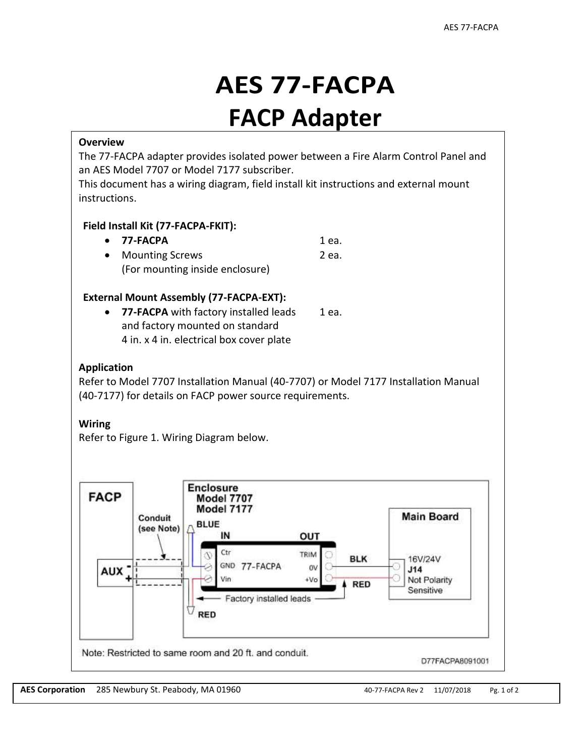# **AES 77-FACPA FACP Adapter**

## **Overview**

The 77-FACPA adapter provides isolated power between a Fire Alarm Control Panel and an AES Model 7707 or Model 7177 subscriber.

This document has a wiring diagram, field install kit instructions and external mount instructions.

### **Field Install Kit (77-FACPA-FKIT):**

| $\bullet$ 77-FACPA              | 1 ea. |
|---------------------------------|-------|
| • Mounting Screws               | 2 ea. |
| (For mounting inside enclosure) |       |

### **External Mount Assembly (77-FACPA-EXT):**

**• 77-FACPA** with factory installed leads 1 ea. and factory mounted on standard 4 in. x 4 in. electrical box cover plate

# **Application**

Refer to Model 7707 Installation Manual (40-7707) or Model 7177 Installation Manual (40-7177) for details on FACP power source requirements.

# **Wiring**

Refer to Figure 1. Wiring Diagram below.